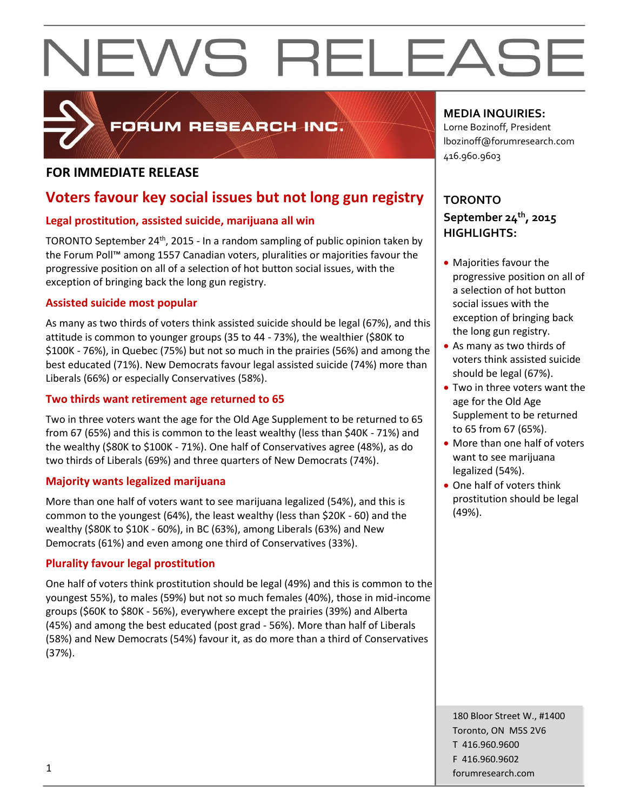

### FORUM RESEARCH INC.

### **FOR IMMEDIATE RELEASE**

### **Voters favour key social issues but not long gun registry**

### **Legal prostitution, assisted suicide, marijuana all win**

TORONTO September 24<sup>th</sup>, 2015 - In a random sampling of public opinion taken by the Forum Poll™ among 1557 Canadian voters, pluralities or majorities favour the progressive position on all of a selection of hot button social issues, with the exception of bringing back the long gun registry.

### **Assisted suicide most popular**

As many as two thirds of voters think assisted suicide should be legal (67%), and this attitude is common to younger groups (35 to 44 - 73%), the wealthier (\$80K to \$100K - 76%), in Quebec (75%) but not so much in the prairies (56%) and among the best educated (71%). New Democrats favour legal assisted suicide (74%) more than Liberals (66%) or especially Conservatives (58%).

### **Two thirds want retirement age returned to 65**

Two in three voters want the age for the Old Age Supplement to be returned to 65 from 67 (65%) and this is common to the least wealthy (less than \$40K - 71%) and the wealthy (\$80K to \$100K - 71%). One half of Conservatives agree (48%), as do two thirds of Liberals (69%) and three quarters of New Democrats (74%).

### **Majority wants legalized marijuana**

More than one half of voters want to see marijuana legalized (54%), and this is common to the youngest (64%), the least wealthy (less than \$20K - 60) and the wealthy (\$80K to \$10K - 60%), in BC (63%), among Liberals (63%) and New Democrats (61%) and even among one third of Conservatives (33%).

### **Plurality favour legal prostitution**

One half of voters think prostitution should be legal (49%) and this is common to the youngest 55%), to males (59%) but not so much females (40%), those in mid-income groups (\$60K to \$80K - 56%), everywhere except the prairies (39%) and Alberta (45%) and among the best educated (post grad - 56%). More than half of Liberals (58%) and New Democrats (54%) favour it, as do more than a third of Conservatives (37%).

### **MEDIA INQUIRIES:**

Lorne Bozinoff, President lbozinoff@forumresearch.com 416.960.9603

### **TORONTO September 24th, 2015 HIGHLIGHTS:**

- Majorities favour the progressive position on all of a selection of hot button social issues with the exception of bringing back the long gun registry.
- As many as two thirds of voters think assisted suicide should be legal (67%).
- Two in three voters want the age for the Old Age Supplement to be returned to 65 from 67 (65%).
- More than one half of voters want to see marijuana legalized (54%).
- One half of voters think prostitution should be legal (49%).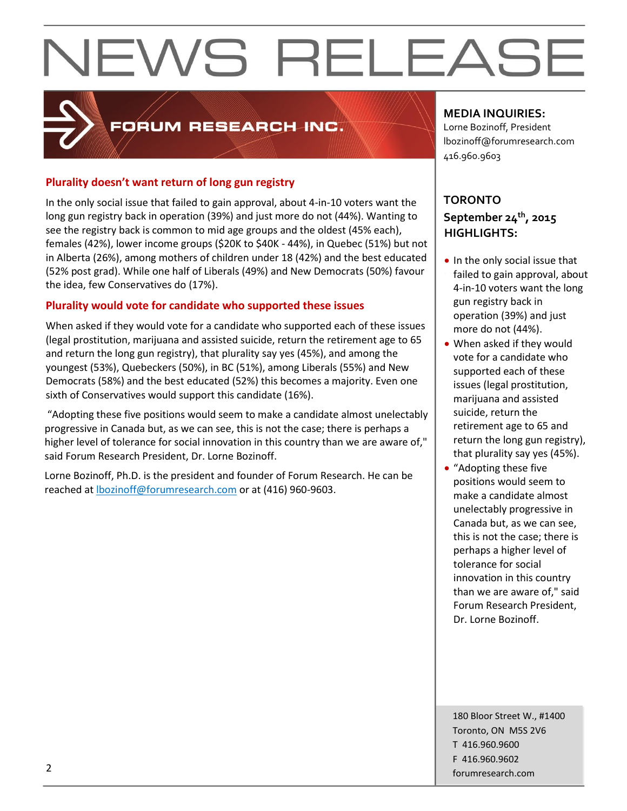### FORUM RESEARCH INC.

### **Plurality doesn't want return of long gun registry**

In the only social issue that failed to gain approval, about 4-in-10 voters want the long gun registry back in operation (39%) and just more do not (44%). Wanting to see the registry back is common to mid age groups and the oldest (45% each), females (42%), lower income groups (\$20K to \$40K - 44%), in Quebec (51%) but not in Alberta (26%), among mothers of children under 18 (42%) and the best educated (52% post grad). While one half of Liberals (49%) and New Democrats (50%) favour the idea, few Conservatives do (17%).

### **Plurality would vote for candidate who supported these issues**

When asked if they would vote for a candidate who supported each of these issues (legal prostitution, marijuana and assisted suicide, return the retirement age to 65 and return the long gun registry), that plurality say yes (45%), and among the youngest (53%), Quebeckers (50%), in BC (51%), among Liberals (55%) and New Democrats (58%) and the best educated (52%) this becomes a majority. Even one sixth of Conservatives would support this candidate (16%).

"Adopting these five positions would seem to make a candidate almost unelectably progressive in Canada but, as we can see, this is not the case; there is perhaps a higher level of tolerance for social innovation in this country than we are aware of," said Forum Research President, Dr. Lorne Bozinoff.

Lorne Bozinoff, Ph.D. is the president and founder of Forum Research. He can be reached at [lbozinoff@forumresearch.com](mailto:lbozinoff@forumresearch.com) or at (416) 960-9603.

### **MEDIA INQUIRIES:**

Lorne Bozinoff, President lbozinoff@forumresearch.com 416.960.9603

### **TORONTO September 24th, 2015 HIGHLIGHTS:**

- In the only social issue that failed to gain approval, about 4-in-10 voters want the long gun registry back in operation (39%) and just
- more do not (44%). When asked if they would vote for a candidate who supported each of these issues (legal prostitution, marijuana and assisted suicide, return the retirement age to 65 and return the long gun registry), that plurality say yes (45%).
- "Adopting these five positions would seem to make a candidate almost unelectably progressive in Canada but, as we can see, this is not the case; there is perhaps a higher level of tolerance for social innovation in this country than we are aware of," said Forum Research President, Dr. Lorne Bozinoff.

180 Bloor Street W., #1400 Toronto, ON M5S 2V6 T 416.960.9600 F 416.960.9602 example to the contract of the contract of the contract of the contract of the contract of the contract of the contract of the contract of the contract of the contract of the contract of the contract of the contract of the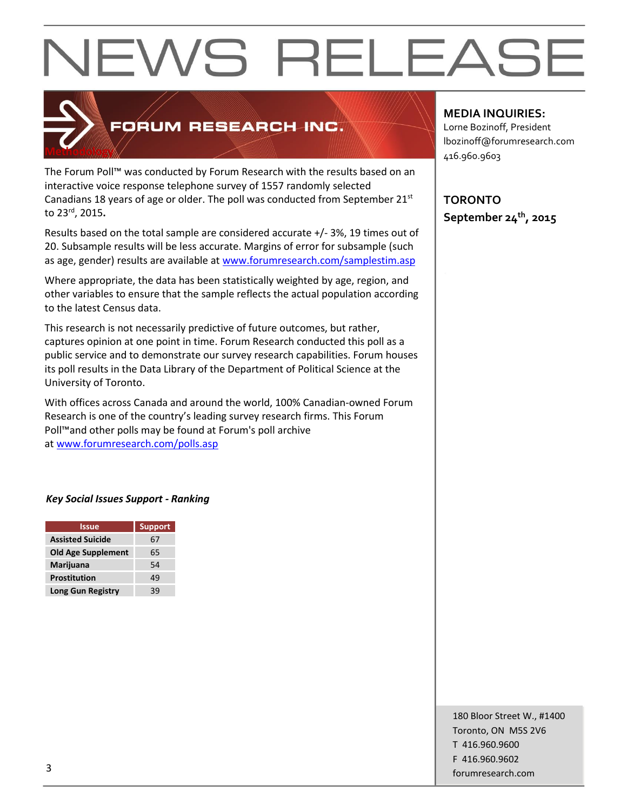

### FORUM RESEARCH INC.

The Forum Poll™ was conducted by Forum Research with the results based on an interactive voice response telephone survey of 1557 randomly selected Canadians 18 years of age or older. The poll was conducted from September  $21<sup>st</sup>$ to 23rd, 2015**.**

Results based on the total sample are considered accurate +/- 3%, 19 times out of 20. Subsample results will be less accurate. Margins of error for subsample (such as age, gender) results are available at [www.forumresearch.com/samplestim.asp](http://www.forumresearch.com/samplestim.asp)

Where appropriate, the data has been statistically weighted by age, region, and other variables to ensure that the sample reflects the actual population according to the latest Census data.

This research is not necessarily predictive of future outcomes, but rather, captures opinion at one point in time. Forum Research conducted this poll as a public service and to demonstrate our survey research capabilities. Forum houses its poll results in the Data Library of the Department of Political Science at the University of Toronto.

With offices across Canada and around the world, 100% Canadian-owned Forum Research is one of the country's leading survey research firms. This Forum Poll™and other polls may be found at Forum's poll archive at [www.forumresearch.com/polls.asp](http://www.forumresearch.com/polls.asp)

### *Key Social Issues Support - Ranking*

| <b>Issue</b>              | <b>Support</b> |
|---------------------------|----------------|
| <b>Assisted Suicide</b>   | 67             |
| <b>Old Age Supplement</b> | 65             |
| Marijuana                 | 54             |
| Prostitution              | 49             |
| <b>Long Gun Registry</b>  | ąд             |

### **MEDIA INQUIRIES:**

Lorne Bozinoff, President lbozinoff@forumresearch.com 416.960.9603

**TORONTO September 24th, 2015**

180 Bloor Street W., #1400 Toronto, ON M5S 2V6 T 416.960.9600 F 416.960.9602 forumresearch.com and the set of the set of the set of the set of the set of the set of the set of the set of the set of the set of the set of the set of the set of the set of the set of the set of the set of the set of th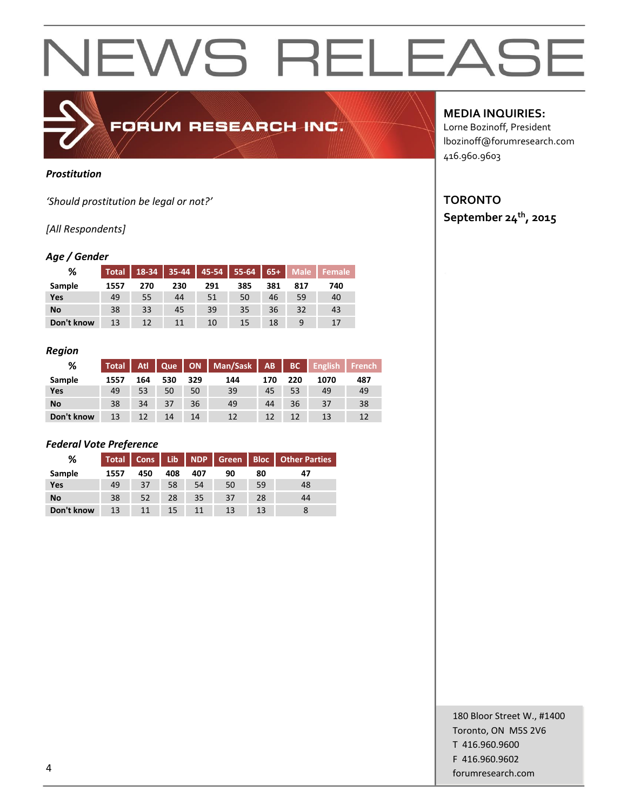### *Prostitution*

*'Should prostitution be legal or not?'*

### *[All Respondents]*

### *Age / Gender*

| %          | Total |     |     | $18-34$ 35-44 45-54 | $55-64$ 65+ |     | <b>Male</b> | <b>Female</b> |
|------------|-------|-----|-----|---------------------|-------------|-----|-------------|---------------|
| Sample     | 1557  | 270 | 230 | 291                 | 385         | 381 | 817         | 740           |
| Yes        | 49    | 55  | 44  | 51                  | 50          | 46  | 59          | 40            |
| No         | 38    | 33  | 45  | 39                  | 35          | 36  | 32          | 43            |
| Don't know | 13    | 12  | 11  | 10                  | 15          | 18  |             | 17            |

FORUM RESEARCH INC.

### *Region*

| %          | <b>Total</b> | Atl. | l Que |     | ON   Man/Sask   AB |     | BC  | <b>English</b> | <b>French</b> |
|------------|--------------|------|-------|-----|--------------------|-----|-----|----------------|---------------|
| Sample     | 1557         | 164  | 530   | 329 | 144                | 170 | 220 | 1070           | 487           |
| Yes        | 49           | 53   | 50    | 50  | 39                 | 45  | 53  | 49             | 49            |
| <b>No</b>  | 38           | 34   | 37    | 36  | 49                 | 44  | 36  | 37             | 38            |
| Don't know | 13           | 12   | 14    | 14  | 12                 | 12  | 12  | 13             | 12            |

### *Federal Vote Preference*

| %          | Total |     |     |     |    |    | Cons   Lib   NDP   Green   Bloc   Other Parties |
|------------|-------|-----|-----|-----|----|----|-------------------------------------------------|
| Sample     | 1557  | 450 | 408 | 407 | 90 | 80 | 47                                              |
| Yes        | 49    | 37  | 58  | 54  | 50 | 59 | 48                                              |
| No         | 38    | 52  | 28  | 35  | 37 | 28 | 44                                              |
| Don't know | 13    | 11  | 15  |     | 13 | 13 |                                                 |

**MEDIA INQUIRIES:**

Lorne Bozinoff, President lbozinoff@forumresearch.com 416.960.9603

### **TORONTO September 24th, 2015**

180 Bloor Street W., #1400 Toronto, ON M5S 2V6 T 416.960.9600 F 416.960.9602 example to the contract of the contract of the contract of the contract of the contract of the contract of the contract of the contract of the contract of the contract of the contract of the contract of the contract of the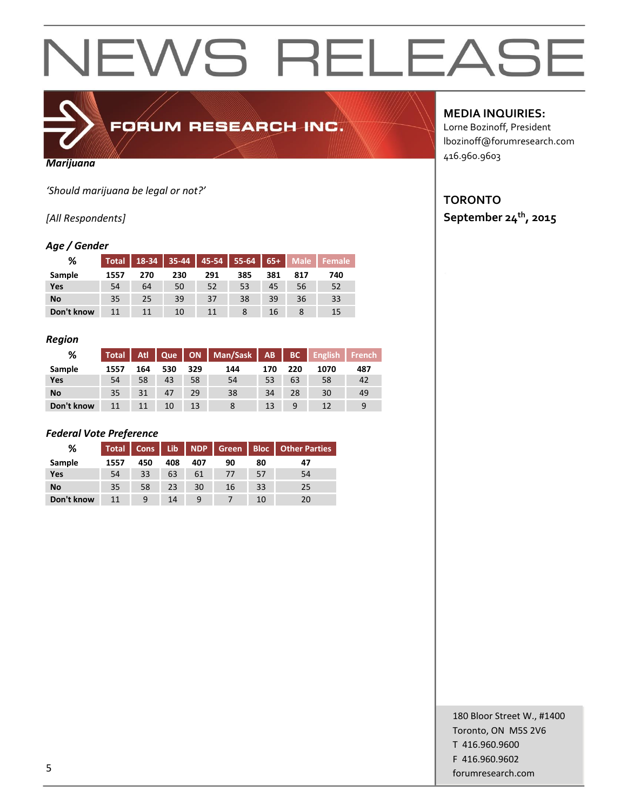

FORUM RESEARCH INC.

### *Marijuana*

*'Should marijuana be legal or not?'*

### *[All Respondents]*

### *Age / Gender*

| %          | Total | $18-34$ |     | 35-44 45-54 55-64 |     | $65+$ | <b>Male</b> | Female |
|------------|-------|---------|-----|-------------------|-----|-------|-------------|--------|
| Sample     | 1557  | 270     | 230 | 291               | 385 | 381   | 817         | 740    |
| Yes        | 54    | 64      | 50  | 52                | 53  | 45    | 56          | 52     |
| No         | 35    | 25      | 39  | 37                | 38  | 39    | 36          | 33     |
| Don't know |       | 11      | 10  | 11                |     | 16    |             | 15     |

### *Region*

| %          | Total | Atl | Que |     | ON   Man/Sask   AB |     | BC  | <b>English</b> | <b>French</b> |
|------------|-------|-----|-----|-----|--------------------|-----|-----|----------------|---------------|
| Sample     | 1557  | 164 | 530 | 329 | 144                | 170 | 220 | 1070           | 487           |
| Yes        | 54    | 58  | 43  | 58  | 54                 | 53  | 63  | 58             | 42            |
| No         | 35    | 31  | 47  | 29  | 38                 | 34  | 28  | 30             | 49            |
| Don't know | 11    | 11  | 10  | 13  |                    | 13  | 9   |                | 9             |

### *Federal Vote Preference*

| %          | <b>Total</b> | Cons | Lib | I NDP I' | Green Bloc |    | <b>Other Parties</b> |
|------------|--------------|------|-----|----------|------------|----|----------------------|
| Sample     | 1557         | 450  | 408 | 407      | 90         | 80 | 47                   |
| Yes        | 54           | 33   | 63  | 61       | 77         | 57 | 54                   |
| No         | 35           | 58   | 23  | 30       | 16         | 33 | 25                   |
| Don't know | 11           | 9    | 14  | 9        |            | 10 | 20                   |

### **MEDIA INQUIRIES:**

Lorne Bozinoff, President lbozinoff@forumresearch.com 416.960.9603

### **TORONTO September 24th, 2015**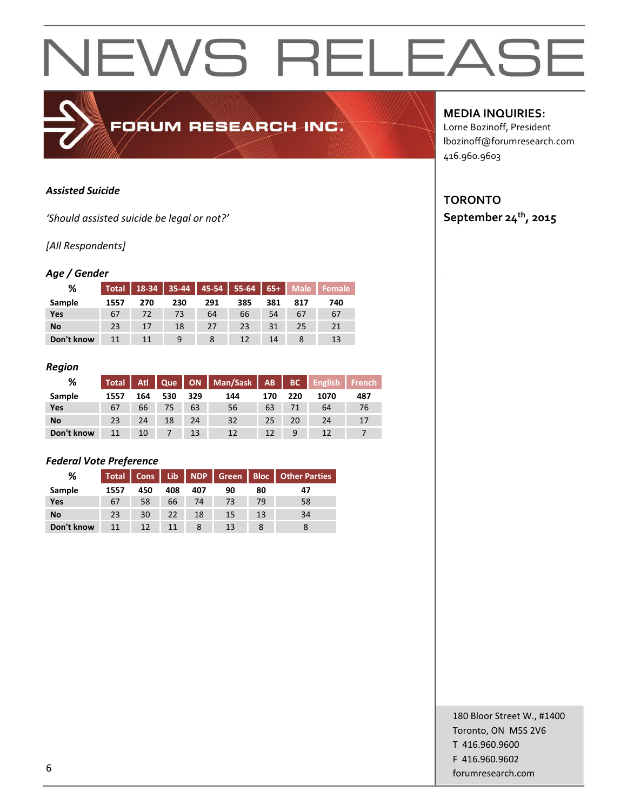### *Assisted Suicide*

*'Should assisted suicide be legal or not?'*

### *[All Respondents]*

### *Age / Gender*

| %          | Total |     |     | 18-34 35-44 45-54 55-64 65+ |     |     | Male | Female |
|------------|-------|-----|-----|-----------------------------|-----|-----|------|--------|
| Sample     | 1557  | 270 | 230 | 291                         | 385 | 381 | 817  | 740    |
| Yes        | 67    | 72  | 73  | 64                          | 66  | 54  | 67   | 67     |
| No         | 23    | 17  | 18  | 27                          | 23  | 31  | 25   | 21     |
| Don't know |       |     |     |                             | 12  | 14  |      | 13     |

FORUM RESEARCH INC.

#### *Region*

| %          | Total L |     |     |     | Atl Que   ON   Man/Sask   AB |     | BC  | English | l French |
|------------|---------|-----|-----|-----|------------------------------|-----|-----|---------|----------|
| Sample     | 1557    | 164 | 530 | 329 | 144                          | 170 | 220 | 1070    | 487      |
| Yes        | 67      | 66  | 75  | 63  | 56                           | 63  | 71  | 64      | 76       |
| <b>No</b>  | 23      | 24  | 18  | 24  | 32                           | 25  | 20  | 24      |          |
| Don't know | 11      | 10  |     | 13  | 12                           | 12  | 9   | 12      |          |

### *Federal Vote Preference*

| %          | <b>Total</b> | Cons | Lib | NDP | Green Bloc |    | <b>Other Parties</b> |
|------------|--------------|------|-----|-----|------------|----|----------------------|
| Sample     | 1557         | 450  | 408 | 407 | 90         | 80 | 47                   |
| Yes        | 67           | 58   | 66  | 74  | 73         | 79 | 58                   |
| No         | 23           | 30   | 22  | 18  | 15         | 13 | 34                   |
| Don't know | 11           | 12   | 11  |     | 13         |    |                      |

### **MEDIA INQUIRIES:**

Lorne Bozinoff, President lbozinoff@forumresearch.com 416.960.9603

### **TORONTO September 24th, 2015**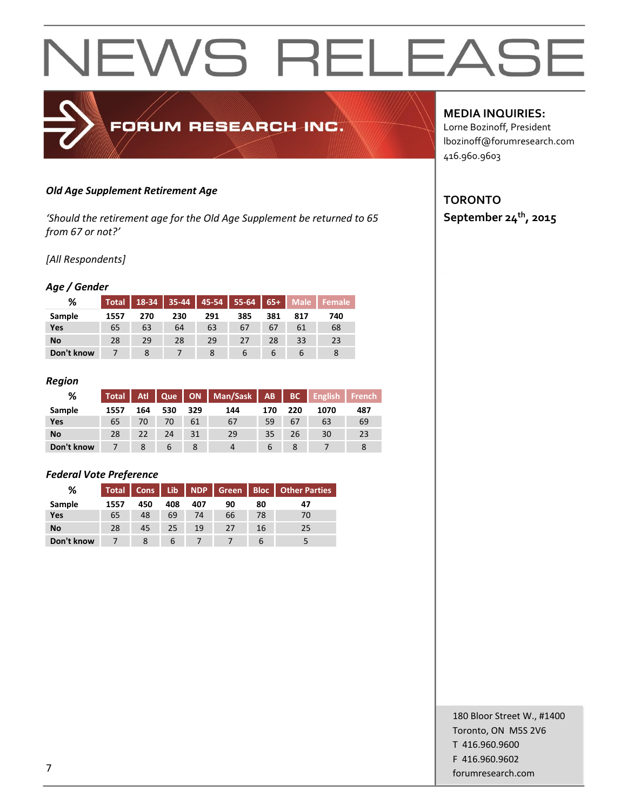### *Old Age Supplement Retirement Age*

*'Should the retirement age for the Old Age Supplement be returned to 65 from 67 or not?'*

FORUM RESEARCH INC.

*[All Respondents]*

### *Age / Gender*

| %          | <b>Total</b> |     |     | $18-34$ 35-44 45-54 55-64 65+ |             |     | Male | Female |
|------------|--------------|-----|-----|-------------------------------|-------------|-----|------|--------|
| Sample     | 1557         | 270 | 230 | 291                           | 385         | 381 | 817  | 740    |
| Yes        | 65           | 63  | 64  | 63                            | 67          | 67  | 61   | 68     |
| No         | 28           | 29  | 28  | 29                            | 27          | 28  | 33   | 23     |
| Don't know |              |     |     |                               | $\mathbf b$ | b   |      | 8      |

#### *Region*

| %          | <b>Total</b> | Atl | Que |     | ON   Man/Sask   AB |     |     | <b>BC</b> English | <b>French</b> |
|------------|--------------|-----|-----|-----|--------------------|-----|-----|-------------------|---------------|
| Sample     | 1557         | 164 | 530 | 329 | 144                | 170 | 220 | 1070              | 487           |
| Yes        | 65           | 70  | 70  | 61  | 67                 | 59  | 67  | 63                | 69            |
| <b>No</b>  | 28           | 22  | 24  | 31  | 29                 | 35  | 26  | 30                | 23            |
| Don't know |              |     | 6   |     |                    | 6   |     |                   |               |

### *Federal Vote Preference*

| %          | <b>Total</b> | <b>Cons</b> | Lib. |     |    |    | NDP   Green   Bloc   Other Parties |
|------------|--------------|-------------|------|-----|----|----|------------------------------------|
| Sample     | 1557         | 450         | 408  | 407 | 90 | 80 | 47                                 |
| Yes        | 65           | 48          | 69   | 74  | 66 | 78 | 70                                 |
| No         | 28           | 45          | 25   | 19  | 27 | 16 | 25                                 |
| Don't know |              |             | b    |     |    |    |                                    |

**MEDIA INQUIRIES:**

Lorne Bozinoff, President lbozinoff@forumresearch.com 416.960.9603

### **TORONTO September 24th, 2015**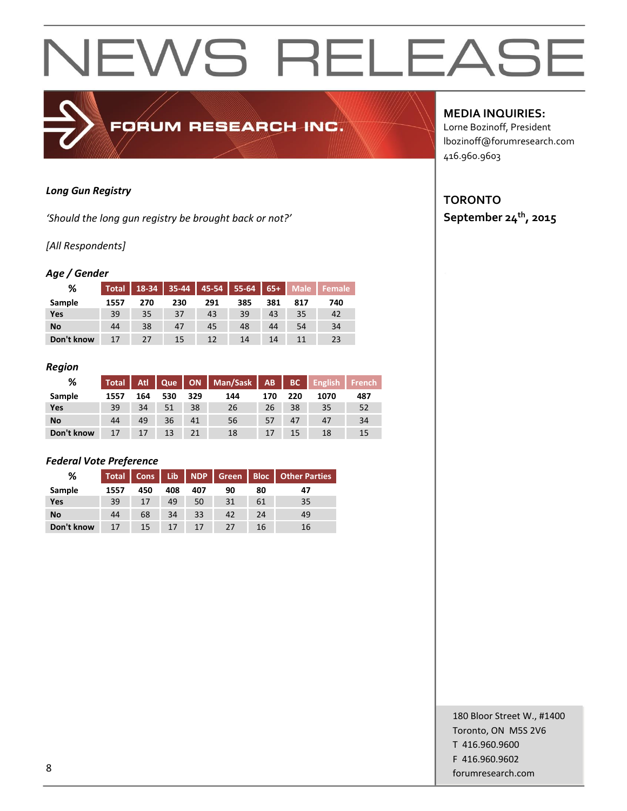### *Long Gun Registry*

*'Should the long gun registry be brought back or not?'*

### *[All Respondents]*

### *Age / Gender*

| %          | Total |     | $18-34$ 35-44 |     | $45-54$ 55-64 | $65+$ | Male | <b>Female</b> |
|------------|-------|-----|---------------|-----|---------------|-------|------|---------------|
| Sample     | 1557  | 270 | 230           | 291 | 385           | 381   | 817  | 740           |
| Yes        | 39    | 35  | 37            | 43  | 39            | 43    | 35   | 42            |
| No         | 44    | 38  | 47            | 45  | 48            | 44    | 54   | 34            |
| Don't know |       | 27  | 15            | 12  | 14            | 14    |      | 23            |

FORUM RESEARCH INC.

#### *Region*

| %          | <b>Total</b> |     | Atl Que |     | ON   Man/Sask | $ AB$ | BC  | English | <b>French</b> |
|------------|--------------|-----|---------|-----|---------------|-------|-----|---------|---------------|
| Sample     | 1557         | 164 | 530     | 329 | 144           | 170   | 220 | 1070    | 487           |
| Yes        | 39           | 34  | 51      | 38  | 26            | 26    | 38  | 35      | 52            |
| <b>No</b>  | 44           | 49  | 36      | 41  | 56            | 57    | 47  | 47      | 34            |
| Don't know | 17           | 17  | 13      |     | 18            | 17    | 15  | 18      | 15            |

### *Federal Vote Preference*

| %          | <b>Total</b> | Cons | Lib. |     |    |    | NDP Green   Bloc   Other Parties |
|------------|--------------|------|------|-----|----|----|----------------------------------|
| Sample     | 1557         | 450  | 408  | 407 | 90 | 80 | 47                               |
| Yes        | 39           | 17   | 49   | 50  | 31 | 61 | 35                               |
| No         | 44           | 68   | 34   | 33  | 42 | 24 | 49                               |
| Don't know | 17           | 15   | 17   | 17  | 27 | 16 | 16                               |

### **MEDIA INQUIRIES:**

Lorne Bozinoff, President lbozinoff@forumresearch.com 416.960.9603

### **TORONTO September 24th, 2015**

180 Bloor Street W., #1400 Toronto, ON M5S 2V6 T 416.960.9600 F 416.960.9602 end to the state of the state of the state of the state of the state of the state of the state of the state of the state of the state of the state of the state of the state of the state of the state of the state of the sta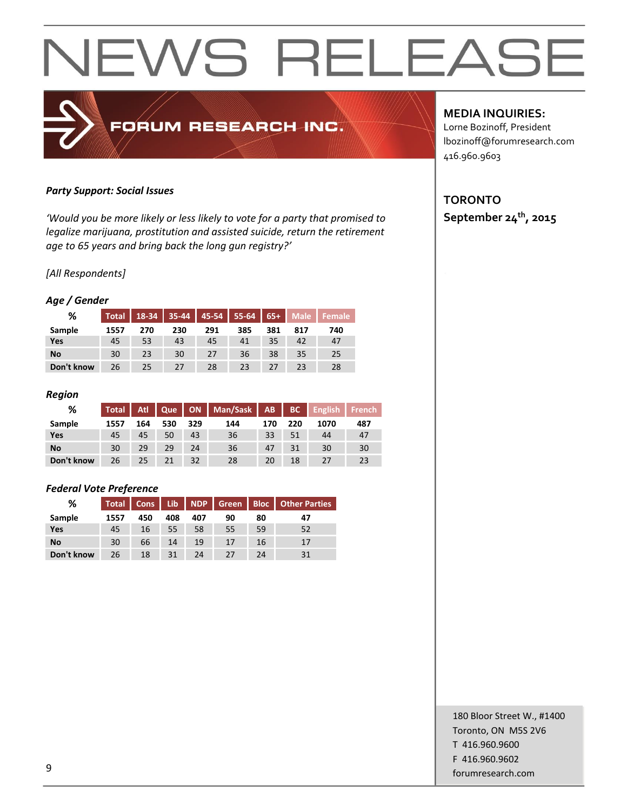### *Party Support: Social Issues*

*'Would you be more likely or less likely to vote for a party that promised to legalize marijuana, prostitution and assisted suicide, return the retirement age to 65 years and bring back the long gun registry?'*

FORUM RESEARCH INC.

### *[All Respondents]*

### *Age / Gender*

| %          | <b>Total</b> | 18-34 | $35-44$ | $45-54$ | $55-64$ | $65+$ | <b>Male</b> | Female |
|------------|--------------|-------|---------|---------|---------|-------|-------------|--------|
| Sample     | 1557         | 270   | 230     | 291     | 385     | 381   | 817         | 740    |
| Yes        | 45           | 53    | 43      | 45      | 41      | 35    | 42          | 47     |
| <b>No</b>  | 30           | 23    | 30      | 27      | 36      | 38    | 35          | 25     |
| Don't know | 26           | 25    | 27      | 28      | 23      | 27    | 23          | 28     |

### *Region*

| ℅          | <b>Total</b> | Atl |     |     | Que   ON   Man/Sask   AB |     |     | BC English | <b>French</b> |
|------------|--------------|-----|-----|-----|--------------------------|-----|-----|------------|---------------|
| Sample     | 1557         | 164 | 530 | 329 | 144                      | 170 | 220 | 1070       | 487           |
| Yes        | 45           | 45  | 50  | 43  | 36                       | 33  | 51  | 44         | 47            |
| <b>No</b>  | 30           | 29  | 29  | 24  | 36                       | 47  | 31  | 30         | 30            |
| Don't know | 26           | 25  | 21  | 32  | 28                       | 20  | 18  | 27         | 23            |

### *Federal Vote Preference*

| %          | Total | Cons | Lib. |     |    |    | NDP Green Bloc Other Parties |
|------------|-------|------|------|-----|----|----|------------------------------|
| Sample     | 1557  | 450  | 408  | 407 | 90 | 80 | 47                           |
| Yes        | 45    | 16   | 55   | 58  | 55 | 59 | 52                           |
| <b>No</b>  | 30    | 66   | 14   | 19  | 17 | 16 | 17                           |
| Don't know | 26    | 18   | 31   | 24  | 27 | 24 |                              |

### **MEDIA INQUIRIES:**

Lorne Bozinoff, President lbozinoff@forumresearch.com 416.960.9603

### **TORONTO September 24th, 2015**